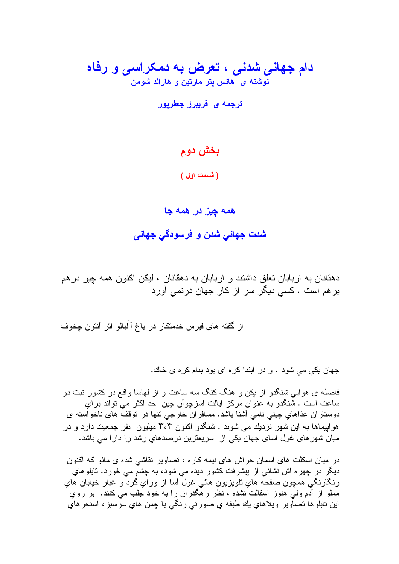# دام جهانی شدنی ، تعرض به دمکراسی و رفاه نوشته ی هانس پتر مارتین و هارالد شومن

ترجمه ی فریبرز جعفریور

### بخش دوم

(قسمت اول)

#### همه چيز در همه جا

شدت جهاني شدن و فرسودگي جهاني

دهقانان به اربابان تعلق داشتند و اربابان به دهقانان ، لیکن اکنون همه چیر در هم بر هم است . کسی دیگر سر از کار جهان درنمی آورد

جهان یکی می شود . و در ابتدا کره ای بود بنام کره ی خاك.

فاصله ی هوایی شنگدو از بکن و هنگ کنگ سه ساعت و از لمهاسا واقع در کشور نبت دو ساعت است . شنگدو به عنوان مرکز ایالت اسزچوأن چین حد اکثر می تواند براي دوستاران غذاهاي چيني نامي آشنا باشد. مسافران خارجي نتها در نوقف هاي ناخواسته ي هو ابیماها به این شهر نزدیك می شوند . شنگدو اكنون ۲،۴ میلیون نفر جمعیت دارد و در ميان شهر هاى غول أساى جهان يكي از سريعترين درصدهاي رشد را دارا مى باشد.

در میان اسکلت های آسمان خراش های نیمه کار ه ، تصاویر نقاشی شده ی مائو که اکنون دیگر در چهره اش نشانبی از بیشرفت کشور دیده می شود، به چشم می خورد. تابلوهای رنگارنگي همچون صفحه هاي نلويزيون هائي غول أسا از وراي گرد و غبار خيابان هاي مملو از آدم ولی هنوز اسفالت نشده ، نظر رهگذران را به خود جلب می کنند. بر روی اين نابلو ها نصـاوير ويلاهاي بك طبقه ي صورتي رنگي بـا چمن هاي سرّسبز ، استخر هاي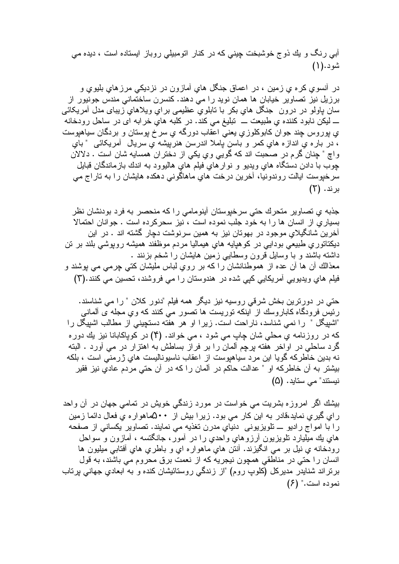آب<sub>ی</sub> رنگ و یك ذوج خوشبخت چینی كه در كنار انومبیلی روباز ایستاده است ، دیده می شود.(۱)

در أنسوی کره ی زمین ، در اعماق جنگل های أمازون در نزدیکی مرزهای بلیوی و برزیل نیز تصاویر خیابان ها همان نوید را می دهند. کنسرن ساختمانی مندس جونیور از سان پاولو در درون جنگل هاي بکر با تابلوي عظيمي براي ويلاهاي زيباي مدل آمريکائي ــــ ليكن نابود كننده ي طبيعت ــــ تبليغ مي كند. در كلبه هاي خرابه اي در ساحل رودخانه ي پوروس چند جوان کابوکلوزي يعني اعقاب دورگه ي سرخ پوستان و بردگان سياهپوست ، در باره ی اندازه های کمر و باسن باملا اندرسن هنربیشه ی سریال آمریکائی "بای واچ " چنان گرم در صحبت اند که گویی وي یکی از دختران همسایه شان است . دلالان چوب با دادن دستگاه های ویدیو و نوار های فیلم های هالیوود به اندك بازماندگان قبایل سرخپوست ايالت روندونيا، أخرين درخت هاي ماهاگوني دهكده هايشان را به تاراج مي  $(7)$  بر ند.

جذبه ی تصاویر متحرك حتى سرخبوستان آبنومامي را كه منحصر به فرد بودنشان نظر بسیاری از انسان ها را به خود جلب نموده است ، نیز سحرکرده است . جوانان احتمالا آخرین شانگیلای موجود در بهوتان نیز به همین سرنوشت دچار گشته اند . در این دیکتاتوری طبیعی بودایی در کوهیایه های هیمالیا مردم موظفند همیشه روپوشی بلند بر تن داشته باشند و با وسایل قرون وسطایی زمین هایشان را شخم بزنند . معذالك أن ها أن عده از هموطنانشان را كه بر روى لباس مليشان كتبي جرمي مي بوشند و فیلم های ویدیویی آمریکایی کیی شده در هندوستان را می فروشند، تحسین می کنند.(۳)

حتی در دورترین بخش شرقی روسیه نیز دیگر همه فیلم "دنور کلان " را می شناسند. رئیس فرودگاه کاباروسك از اینکه توریست ها تصور می کنند که وي مجله ی ألمانی "اشبیگل " را نمی شناسد، ناراحت است. زیرا او هر هفته دستچینی از مطالب اشبیگل را که در روزنامه ي محلي شان چاپ مي شود ، مي خواند. (۴) در کوپاکابانا نيز يك دوره گرد ساحلی در اواخر هفته برچم آلمان را بر فراز بساطش به اهتزار در می آورد . البته نه بدین خاطرکه گویا این مرد سیاهپوست از اعقاب ناسیونالیست های ژرمنی است ، بلکه بیشتر به آن خاطرکه او " عدالت حاکم در آلمان را که در آن حتی مردم عادیِ نیز فقیر نيستند" *مي* ستايد. (۵)

بیشك اگر امروزه بشریت می خواست در مورد زندگی خویش در نمامی جهان در آن واحد راي گيري نمايد،قادر به اين كار مي بود. زيرا بيش از ۵۰۰کماهواره ي فعال دائما زمين را با امواج رادیو ـــ تلویزیونی دنیای مدرن تغذیه می نمایند. تصاویر یکسانی از صفحه های بك مبلبارد نلویزیون أرزوهای واحدی را در أمور، جانگنسه ، أمازون و سواحل رودخانه ي نيل بر مي انگيزند. أنتن هاي ماهواره اي و باطري هاي أفتابي ميليون ها انسان را حتى در مناطقى همچون نيجريه كه از نعمت برق محروم مى باشند، به قول برنراند شنایدر مدیرکل (کلوپ روم) "از زندگی روستائیشان کنده و به ابعادی جهانی پرتاب  $(5)$ ". نمو ده است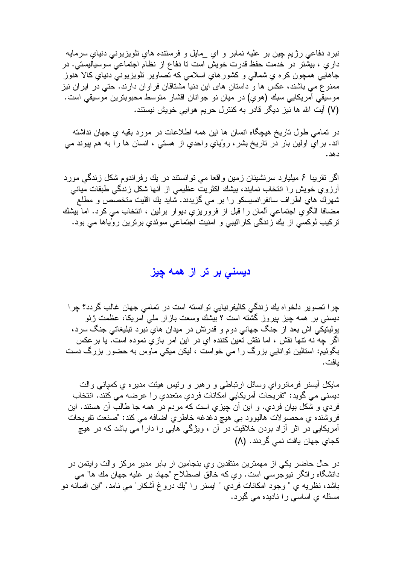نبرد دفاعی رژیم چین بر علیه نمابر و ای \_مایل و فرستنده های تلویزیونی دنیای سرمایه داریِ ، بیشتر در خدمت حفظ قدرت خویش است تا دفاع از نظام اجتماعی سوسیالیستی. در جاهایی همچون کره ي شمالی و کشور هاي اسلامی که تصاویر تلویزیونی دنیاي کالا هنوز ممنوع می باشند، عکس ها و داستان های این دنیا مشتاقان فراوان دارند. حتی در ایران نیز موسیقی امریکایی سبك (هوی) در میان نو جوانان اقشار متوسط محبوبترین موسیقی است. (٧) آيت الله ها نيز ديگر قادر به كنترل حريم هو ايي خويش نيستند.

در نمامي طول ناريخ هيچگاه انسان ها اين همه اطلاعات در مورد بقيه ي جهان نداشته اند. براي اولين بار در تاريخ بشر، روُياي واحدي از هستي ، انسان ها را به هم پيوند مي دهد.

اگر نقریبا ۶ میلیارد سرنشینان زمین واقعا می نوانستند در یك رفراندوم شكل زندگی مورد أرزوي خويش را انتخاب نمايند، بيشك اكثريت عظيمى از أنها شكل زندگى طبقات ميانى شهرك هاي اطراف سانفرانسيسكو را بر مي گزيدند. شايد يك اقليت متخصص و مطلع مضـافـا الكوي اجتمـاعي ألمـان را قبل از فروريزي ديوار برلين ، انتخاب مـي كرد. امـا بيشك ترکیب لوکسی از یك زندگی كارائیبی و امنیت اجتماعی سوئدیِ برترین روُیاها می بود.

دیسنی بر تر از همه چیز

چرا تصویر دلخواه یك زندگی كالیفرنیایی توانسته است در تمامی جهان غالب گردد؟ چرا دیسنے بر ہمه جیز بیروز گشته است ؟ بیشك وسعت بازار ملَّى أمریكا، عظمت ژئو پولیتیکی اش بعد از جنگ جهانی دوم و قدرتش در میدان هایِ نبرد تبلیغاتی جنگ سرد، اگر چه نه نتها نقش ، اما نقش تعین کننده ای در این امر بازیِ نموده است. یا برعکس بگوئیم: استالین توانایی بزرگ را می خواست ، لیکن میکی ماوس به حضور بزرگ دست بافت.

مایکل أیسنر فرمانروای وسائل ارتباطی و رهبر و رئیس هیئت مدیره ی کمیانی والت ديسني مي گويد: "تفريحات آمريكايي امكانات فردي متعددي ر ا عرضه مي كنند. انتخاب فردی و شکل بیان فردی. و این آن چیز ی است که مردم در همه جا طالب آن هستند. این فروشنده ي محصولات هاليوود بي هيچ دغدغه خاطري اضافه مي كند: "صنعت تفريحات آمریکایی در اثر آزاد بودن خلاقیت در آن ، ویژگی هایی را دارا می باشد که در هیچ کجای جهان یافت نمی گردند. (۸)

در حال حاضر یکی از مهمترین منتقدین ویِ بنجامین ار بابر مدیر مرکز والت وایتمن در دانشگاه رانگر نیوجرسی است. وي كه خالق اصطلاح "جهاد بر علیه جهان مك ها" می باشد، نظريه ي " وجود امكانات فردي " ايسنر را "يك دروغ أشكار" مي نامد. "اين افسانه دو مسئله ی اساسی را نادیده می گیرد.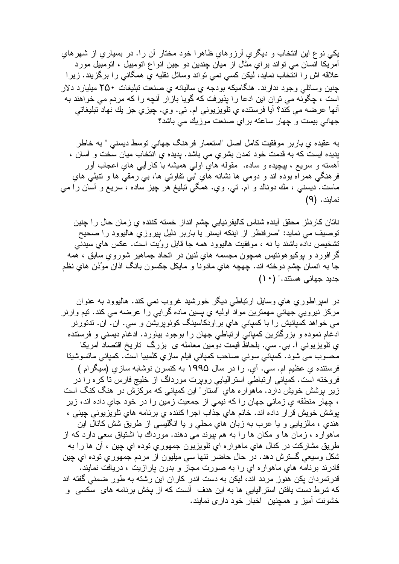یکی نوع این انتخاب و دیگری آرزوهای ظاهرا خود مختار آن را. در بسیاری از شهرهای آمریکا انسان می تواند برایِ مثال از میان چندین دو جین انواع اتومبیل ، اتومبیل مورد علاقه اش را انتخاب نماید، لیکن کسی نمی تواند وسائل نقلیه یِ همگانی را برگزیند. زیرا جنین و سائلی و جود ندارند. هنگامیکه بودجه ی سالیانه ی صنعت تبلیغات ۲۵۰ میلیارد دلار است ، چگونه می توان این ادعا را بذیر فت که گویا باز ار آنچه را که مردم می خواهند به أنها عرضه مي كُند؟ أيا فرستنده ي تلويزيوني ام. تي. وي. چيزي جز يك نهاد تبليغاتي جهانی بیست و جهار ساعته بر ای صنعت موزیك می باشد؟

به عقیده ی باربر موفقیت کامل اصل "استعمار فرهنگ جهانی نوسط دیسنی " به خاطر بدیده ایست که به قدمت خود نمدن بشری می باشد. بدیده ی انتخاب میان سخت و آسان ، أهسته و سریع ، بیچیده و ساده. ً مقوله های اولی همیشه با کارآیی های اعجاب أور فرهنگي همراه بوده اند و دومي ها نشانه هاي "بي نفاوتي ها، بي رمقي ها و نتبلي هاي ماست. دیسنبی ، مك دونالد و ام. تبي. وي. همگي نبليغ هر چيز ساده ، سريع و أسان را مي نمابند. (۹)

ناتان كاردلز محقق أينده شناس كاليفرنيايي چشم انداز خسته كننده ي زمان حال ر ا چنين توصیف می نماید: "صرفنظر از اینکه ایسنر یا باربر دلیل بیروزی هالیوود را صحیح تشخيص داده باشند يا نه ، موفقيت هاليوود همه جا قابل روُيت است. عكس هاى سيدنى گرافورد و بوکیوهونتیس همچون مجسمه هایِ لنین در انحاد جماهیر شورویِ سابق ، هُمه جا به انسان چشم دوخته اند. چهچه هایِ مادونا و مایکل جکسون بانگ اذان موُذن هایِ نظم  $( ) \cdot )$  جدید جهانی هستند." (

در امپراطوري هاي وسايل ارتباطي ديگر خورشيد غروب نمي كند. هاليوود به عنوان مرکز نیرویی جهانی مهمترین مواد اولیه یِ پسین ماده گرایی را عرضه می کند. تیم وارنر می خواهد کمپانیش را با کمپانی های بر اودکاسینگ کوئوپریشن و سی. ان. ان. ندتورنر ادغام نموده و بزرگترین کمپانی ارتباطی جهان را بوجود بیاورد. ادغام دیسنی و فرستنده ي تلويزيوني أ. بـي. سـي. بلحاظ قيمت دومين معامله ی بزرگ تاريخ اقتصـاد أمريكا محسوب مي شود. كمپاني سوني صـاحب كمپاني فيلم ساز ي كلمبيا است. كمپاني مـاتسوشيتا فرستنده ي عظيم ام. سي. أي. را در سال ١٩٩۵ به كنسرن نوشابه سازي (سيگرام ) فروخته است. کمیانی ارتباطی استرالیایی رویرت مورداگ از خلیج فارس تا کره را در زیر پوشش خویش دارد. ماهواره هایِ "استار" این کمیانی که مرکزش در هنگ کنگ است ، چهار منطقه ي زماني جهان را كه نيمي از جمعيت زمين را در خود جاي داده اند، زير بوشش خويش قرار داده اند. خانم هاي جذاب اجرا كننده ي برنامه هاي نلويزيوني چيني ، هندی ، مالزیایی و یا عرب به زبان هایِ محلّی و یا انگلیسی از طریق شش کانال این ماهواره ، زمان ها و مکان ها را به هم بپوند می دهند. مورداك با اشتياق سعی دارد كه از طريق مشاركت در كنال هاي ماهواره اي نلويزيون جمهوري نوده اي چين ، أن ها را به شکل وسیعی گسترش دهد. در حال حاضر نتها سی میلیون از مردم جمهوری نوده ای چین قادرند برنامه های ماهوار ه ای را به صورت مجاز و بدون بارازیت ، دریافت نمایند. قدرتمردان یکن هنوز مردد اند، لیکن به دست اندر کاران این رشته به طور ضمنی گفته اند که شرط دست یافتن استرالیایی ها به این هدف آنست که از پخش برنامه های سکسی و خشونت آمیز و همچنین اخبار خود داری نمایند.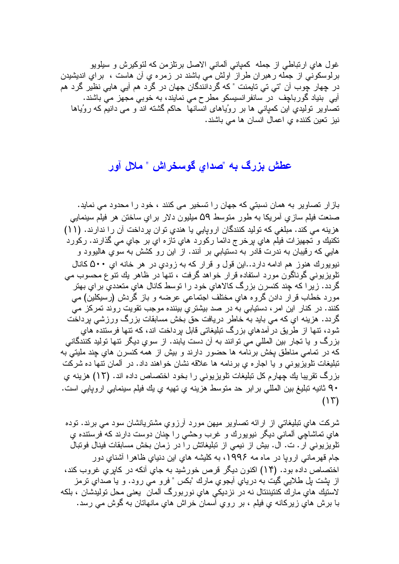غول هاي ارتباطي از جمله كمباني ألماني الاصل برتلزمن كه لئوكيرش و سيلويو برلوسکونی از جمَّله رهبران طرَّاز ًاولشَّ می باشند در زمره یِ آن هاست ، برایِ اندیشیدن در چهار چوب آن "تي تي تايمنت " كه گردانندگان جهان در گرد هم آيي هايي نظير گرد هم ابی بنیاد گورباچف در سانفرانسیسکو مطرح می نمایند، به خوبی مجهز می باشند. تصاویر تولیدیِ این کمپانی ها بر روُیاهای انسانها ً حاکم گشته اند و می دانیم که روُیاها نیز تعین کننده ی اعمال انسان ها می باشند.

## عطش بزرگ به "صدای گوسخراش " ملال آور

بازار تصاوير به همان نسبتي كه جهان را تسخير مى كنند ، خود را محدود مي نمايد. صنعت فيلم سازي أمريكا به طور متوسط ۵۹ ميليون دلار براي ساختن هر فيلم سينمايي هزینه می کند. مبلغی که تولید کنندگان اروپایی یا هندی توان برداخت آن را ندارند. (۱۱) تكنيك و تجهيزات فيلم هاي برخرج دائما ركورد هاي تازه اي بر جاي مي گذارند. ركورد هایی که رقیبان به ندرت قادر به دستیابی بر آنند. از این رو کشش به سویِ هالیوود و نیویورك هنوز هم ادامه دارد..این قول و قرار كه به زودي در هر خانه اي ۵۰۰ كانال تلویزیونی گوناگون مورد استفاده قرار خواهد گرفت ، نتها در ظاهر بك نتوع محسوب می گردد. زیرا که چند کنسرن بزرگ کالاهایِ خود را توسط کانال هایِ متعددیِ برایِ بهتر مورد خطاب قرار دادن گروه هاي مختلف اجتماعي عرضه و باز گردش (رسيكلين) مي کنند. در کنار این امر ، دستیابی به در صد بیشتریِ بیننده موجب تقویت روند تمرکز می گردد. هزینه ای که می باید به خاطر دریافت حق بخش مسابقات بزرگ ورزشی برداخت شود، نتها از طریق در آمدهای بزرگ نبلیغاتی قابل پرداخت اند، که نتها فرسننده های بزرگ و یا تجار بین المللی می توانند به آن دست پابند. از سوی دیگر نتها تولید کنندگانی که در تمامی مناطق بخش برنامه ها حضور دارند و بیش از همه کنسرن هایِ چند ملیتی به تبلیغات نلویزیونی و یا اجاره ی برنامه ها علاقه نشان خواهند داد. در آلمان نتها ده شرکت بزرگ نقریبا یك چهارم كل تبلیغات تلویزیونی را بخود اختصاص داده اند. (١٢) هزینه ي ٩٠ ثانيه نبليغ بين المللي برابر حد متوسط هزينه ي تهيه ي يك فيلم سينمايي اروپايي است.  $(15)$ 

شرکت های نبلیغاتی از ارائه نصاویر میهن مورد آرزوی مشتریانشان سود می برند. نوده هاي تماشاچي ألماني ديگر نيويورك و غرب وحشي را چنان دوست دارند كه فرستنده ي تلویزیونی ار . ت. ال. بیش از نیمی از نبلیغاتش را در زمان بخش مسابقات فینال فونبال جام قهرمانی اروپا در ماه مه ۱۹۹۶، به کلیشه هایِ این دنیایِ ظاهرا آشنایِ دور اختصاص داده بود. (۱۴) اکنون دیگر قرص خورشید به جای آنکه در کابری غروب کند، از بشت بل طلایی گیت به دریای آبجوی مارك "بكس " فرو می رود. و یا صدای ترمز لاستيك هاي مارك كنتيننتال نه در نزديكي هاي نوربورگ ألمان يعني محل توليدشان ، بلكه با برش هاي زيركانه ي فيلم ، بر روي أسمان خراش هاي مانهاتان به گوش مي رسد.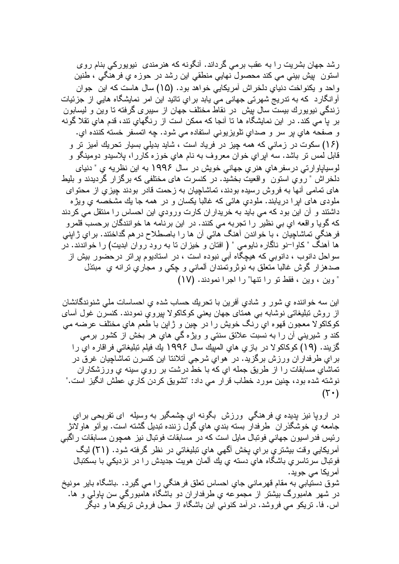رشد جهان بشریت را به عقب برمی گرداند. آنگونه که هنرمندی نیوپورکی بنام روی استون بيش بيني مي كند محصول نهايي منطقي اين رشد در حوزه ي فرهنگي ، طنين واحد و يكنواخت دنياي دلخراش أمريكايي خواهد بود. (١۵) سال هاست كه اين جوان آوانگارد که به ندریج شهرتی جهانی می پابد برایِ نائید این امر نمایشگاه هایی از جزئیات زندگی نیویورك بیست سال پیش در نقاط مختلف جهان از سیبری گرفته تا وین و لیسابون بر یا می کند. در این نمایشگاه ها تا آنجا که ممکن است از رنگهای تند، قدم های تقلا گونه و صفحه هاي پر سر و صداي تلويزيوني استفاده مي شود. چه اتمسفر خسته كننده اي. (۱۶) سکوت در زمانی که همه چیز در فریاد است ، شاید بدیلی بسیار تحریك آمیز تر و قابل لمص نر باشد. سه اپراي خوان معروف به نام هاي خوزه کاررا، پلاسيدو دومينگو و لوسیایاو ارتبی در سفر های هنر ی جهانی خویش در سال ۱۹۹۶ به این نظریه ی " دنیای دلخر اش " ر و ی استون و اقعیت بخشید. در کنسر ت های مختلفی که بر گز ار گر دبدند و بلیط های تمامی آنها به فروش رسیده بودند، تماشاچیان به زحمت قادر بودند چیزی از محتوای ملودی های ابر ا در بابند. ملودی هائی که غالبا بکسان و در همه جا بك مشخصه ی وبژ ه داشتند و آن این بود که می باید به خریدار ان کارت ورودی این احساس را منتقل می کردند که گویا واقعه ای بی نظیر را تجربه می کنند. در این برنامه ها خوانندگان برحسب قلمرو فر هنگی تماشاچیان ، با خواندن آهنگ هائی آن ها را باصطلاح در هم گداختند. برای ژاپنی ها آهنگ " کاوا–نو ناگاره ناپومی " ( افتان و خبزان تا به رود روان ابدیت) را خواندند. در سواحل دانوب ، دانوبی که هیچگاه آبی نبوده است ، در استادیوم پرانر درحضور بیش از صدهزار گوش غالبا متعلق به نوثرونمندان ألماني و چکي و مجاري نرانه ي مبتذل " وين ، وين ، فقط تو را تتها" را اجرا نمودند. (١٧)

این سه خواننده ي شور و شادي آفرين با تحريك حساب شده ي احساسات ملي شنوندگانشان از روش نبليغاتی نوشابه بي همتای جهان يعني کوکاکولا بپروي نمودند. کنسرن غول آسا*ی* كوكاكو لا معجون قهوه اي رنگ خويش را در چين و ژاپن با طعم هاي مختلف عرضه مي کند و شیرینی آن را به نسبت علائق سنتی و ویژه گی های هر بخش از کشور برمی گز بند. (١٩) کو کاکو لا در باز ی های المبیك سال ١٩٩۶ بك فیلم تبلیغاتی فر اقار م ای ر ا براي طرفداران ورزش برگزيد. در هواي شرجي أنلاننا اين كنسرن تماشاچيان غرق در تماشاي مسابقات را از طريق جمله اي كه با خط درشت بر روي سينه ي ورزشكاران نوشته شده بود، چنین مورد خطاب قرار می داد: "تشویق کردن کاریِ عطش انگیز است."  $(\top \cdot)$ 

در اروپا نیز بدیده ی فرهنگی ورزش بگونه ای چشمگیر به وسیله ای تفریحی برای جامعه ي خوشگذر ان طرفدار بسنه بندي هاي گول زننده نبديل گشته است. يو آئو هاو لانژ رئیس فدر اسیون جهانی فونبال مایل است که در مسابقات فونبال نیز همچون مسابقات راگبی أمريكايي وقت بيشتري براي پخش أكهي هاي نبليغاتي در نظر گرفته شود. (٢١) ليگ فونبال سرناسریِ باشگاه هایِ دسته یِ بِك آلمان هویت جدیدش را در نزدیكی با بسكتبال آمريکا مے جويد۔ شوق دستيابي به مقام قهرماني جاي احساس تعلق فرهنگي را مي گيرد. باشگاه باير مونيخ در شهر هامبورگ بيشتر از مجموعه ي طرفداران دو باشگاه هامبورگي سن پاولي و ها. اس. فا. نریکو می فروشد. در آمد کنونی این باشگاه از محل فروش نریکوها و دیگر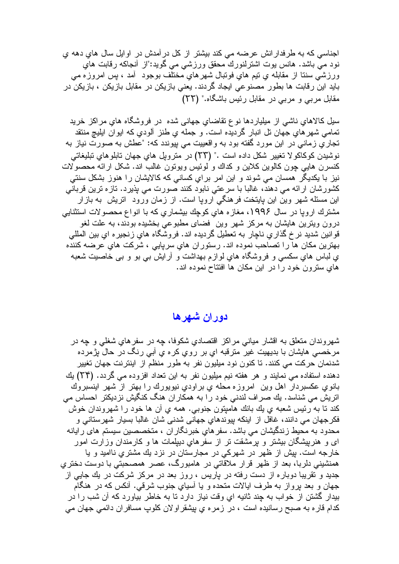اجناسی که به طرفدار انش عرضه می کند بیشتر از کل در آمدش در اوایل سال های دهه ی نود مـيّ بـاشد. هانس بوت اشترلنوركَ محقق ورزشـي مـي گويد:"از أنـجاكـه رقابت هاي ورزشي سننا از مقابله ي نيم هاي فونبال شهرهاي مختلف بوجود ۖ أمد ، پس امروزه مي بايد اين رقابت ها بطور مصنوعي ايجاد گردند. يعني بازيكن در مقابل بازيكن ، بازيكن در مقابل مربی و مربی در مقابل رئیس باشگاه." (٢٢)

سیل کالاهای ناشی از میلیاردها نوع نقاضای جهانی شده در فروشگاه های مراکز خرید نمامي شهر هاي جهان نل انبار گرديده است. و جمله ي طنز ألودي كه ايوان ايليچ منتقد تجاري زماني در اين مورد گفته بود به واقعييت مي پيوندد كه: "عطش به صورت نياز به نوشيدن كوكاكو لا تغيير شكل داده است ." (٢٣) در مترويل هاي جهان تابلوهاي تبليغاتي كنسرن هايي چون كالوين كلاين و كداك و لوئيس ويونون غالب اند. شكل ارائه محصولات نیز با یکدیگر همسان می شوند و این امر برایِ کسانی که کالایشان را هنوز بشکل سنتی كشورشان ارائه مي دهند، غالبا با سرعتي نابود كنند صورت مي پذيرد. تازه ترين قرباني این مسئله شهر وین این پایتخت فرهنگی اروپا است. از زمان ورود انریش به بازار مشترك اروپا در سال ۱۹۹۶، مغازه های كوچك بیشماری كه با انواع محصولات استثنایی درون ویترین هایشان به مرکز شهر وین ًفضای مطبوعی بخشیده بودند، به علت لغو قوانین شدید نرخ گذاری ناچار به تعطیل گردیده اند. فروشگاه های زنجیره ای بین المللی بهترین مکان ها را تصاحب نموده اند. رستوران های سریایی ، شرکت های عرضه کننده ي لباس هاي سکسي و فروشگاه هاي لوازم بهداشت و آرايش بـي بو و بـي خاصيت شـعبه های سترون خود را در این مکان ها افتتاح نموده اند.

## دوران شهرها

شهروندان متعلق به اقشار مياني مراكز اقتصادي شكوفا، چه در سفرهاي شغلبي و چه در مرخصـي هايشان با بديهيت غير مترقبه اي بر روي كره ي أبـي رنگ در حالٌ پژمرده شدنمان حرکت می کنند. تا کنون نود میلیون نفر به طور منظم از اینترنت جهان تغییر دهنده استفاده مي نمايند و هر هفته نيم ميليون نفر به اين تعداد افزوده مي گردد. (٢۴) يك بانویِ عکسبردار اهل وین امروزه محله ی براودیِ نیویورك را بهتر از شهر اینسبروك اتریش می شناسد. یك صراف لندنی خود را به همكاران هنگ كنگیش نزدیكتر احساس می كند تا به رئيس شعبه ي يك بانك هاميِتون جنوبي. همه ي آن ها خود را شهروندان خوش فکرجهان می دانند، غافل از اینکه بیوندهای جهانی شدنی شان غالبا بسیار شهرستانی و محدود به محیط زندگیشان می باشد. سفر های خبرنگار ان ، متخصصین سیستم های رایانه ای و هنرپیشگان بیشتر و پرمشقت تر از سفرهای دیپلمات ها و کارمندان وزارت امور خارجه است. بیش از ظهر در شهرکی در مجارستان در نزد بك مشتریِ ناامید و یا همنشینی دلربا، بعد از ظهر قرار ملاقاتی در هامبورگ، عصر همصحبتی با دوست دختری جدید و نقریبا دوباره از دست رفته در پاریس ، روز بعد در مرکز شرکت در بك جایی از جهان و بعد برواز به طرف ایالات متحده و یا أسیایِ جنوب شرقی. أنکس که در هنگام بیدار گشتن از خواب به چند ثانیه ای وقت نیاز دارد تا به خاطر بیاورد که آن شب را در كدام قار ه به صبح رسانیده است ، در زمره ی بیشقر او لان كلوب مسافر ان دائمی جهان می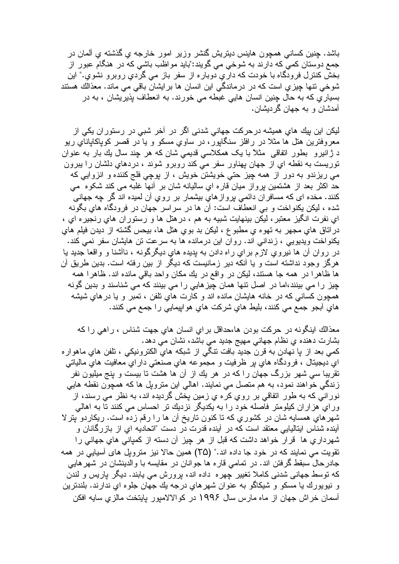باشد. جِنين كساني همچون هاينس ديتريش گنشر وزير امور خارجه ي گذشته ي آلمان در جمع دوستان کمي که دارند به شوخي مي گويند:"بايد مواظب باشي که در هنگام عبور از بخش کنترل فرودگاه با خودت که داري دوباره از سفر باز مي گردي روبرو نشوي." اين شوخی نتها چیزی است که در درماندگی این انسان ها برایشان باقی می ماند. معذالك هستند بسیاریِ که به حال چنین انسان هایی غبطه می خورند. به انعطاف پذیریشان ، به در آمدشان و به جهان گردیشان.

لیکن این بیك هاي همیشه درحركت جهانی شدنی اگر در آخر شبی در رستوران یكی از معروفترین هتل ها مثلا در رافلز سنگابور، در ساوی مسکو و یا در قصر کویاکایانای ریو د ژانیرو بطور انفاقی مثلاً با یک همکلاسی قدیمی شان که هر چند سال یك بار به عنوان توريست به نقطه اي از جهان پهناور سفر مي كند روبرو شوند ، دردهاي دلشان را بيرون می ریزندو به دور از همه چیز حتی خویشتن خویش ، از بوچی فلج کننده و انزوایی که حد اکثر بعد از هشتمین برواز میان قاره ای سالیانه شان بر انها غلبه می کند شکوه ًمی کنند. مخده ای که مسافران دائمی بروازهایِ بیشمار بر رویِ آن لمیده اند گر چه جهانی شده ، ليكن يكنواخت و بي انعطاف است: أن ها در سراسر جهان در فرودگاه هاي بگونه اي نفرت انگيز معتبر ، ليكن بينهايت شبيه به هم ، در هتل ها و رستوران هاي رنجير ه اي ، دراناق هاي مجهر به نهوه ي مطبوع ، ليكن بد بوي هتل ها، بيحس گشته از ديدن فيلم هاي يكنواخت ويديويي ، زنداني اند. روان اين درمانده ها به سرعت تن هايشان سفر نمي كند. در روان آن ها نیروی لازم بر ای راه دادن به بدیده های دیگرگونه ، ناأشنا و واقعا جدید یا هرگز وجود نداشته است و یا آنکه دیر زمانیست که دیگر از بین رفته است. بدین طریق آن ها ظاهرا در همه جا هستند، لیکن در واقع در یك مكان واحد باقی مانده اند. ظاهرا همه چیز را می بینند،اما در اصل نتها همان چیزهایی را می بینند که می شناسند و بدین گونه همچون کسانی که در خانه هایشان مانده اند و کارت های تلفن ، تمبر و یا در های شیشه هاي أبجو جمع مي كنند، بليط هاي شركت هاي هوايپمايي را جمع مي كنند.

معذالك اينگونه در حركت بودن ها،حداقل براي انسان هاي جهت شناس ، راهي را كه بشارت دهنده ي نظام جهاني مهيج جديد مي باشد، نشان مي دهد. كمي بعد از پا نهادن به قرن جديد بافت نتگي از شبكه هاي الكترونيكي ، نلفن هاي ماهوار ه اي ديجيتال ، فرودگاه هاي پړ ظرفيت و مجموعه هاي صنعتي داراي معافيت هاي مالياتي نقریبا سی شهر بزرگ جهان را که در هر یك از آن ها هشت نا بیست و پنج میلیون نفر زندگي خواهند نمود، به هم متصل مي نمايند. اهالي اين متروپل ها كه همچون نقطه هايي نورانی که به طور اتفاقی بر روي کره ي زمين پخش گرديده اند، به نظر می رسند، از ورایِ هزاران کیلومتر فاصله خود را به یکدیگر نزدیك تر احساس می کنند تا به اهالی شهرهایِ همسایه شان در کشوریِ که نا کنون ناریخ آن ها را رقم زده است. ریکاردو بِترلا آینده شناس ایتالیایی معتقد است که در آینده قدرت در دست "اتحادیه ای از بازرگانان و شهرداریِ ها قرار خواهد داشت که قبل از هر چیز آن دسته از کمیانی هایِ جهانی را تقویت می نمایند که در خود جا داده اند." (۲۵) همین حالا نیز مترویل های آسیایی در همه جادرحال سبقط گرفتن اند. در تمامی قاره ها جوانان در مقایسه با والدینشان در شهرهایی که نوسط جهانی شدنی کاملا تغییر چهره داده اند، پرورش می یابند. دیگر پاریس و لندن و نيويورك يا مسكو و شيكاگو به عنوان شهرهاي درجه يك جهان جلوه اي ندارند. بلندترين أسمان خراش جهان از ماه مارس سال ۱۹۹۶ در کوالالامپور بایتخت مالزیِ سایه افکن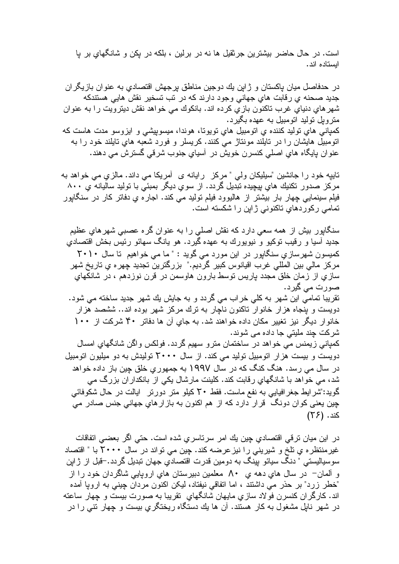است. در حال حاضر بیشترین جرثقیل ها نه در برلین ، بلکه در یکن و شانگهای بر یا ابستاده اند.

در حدفاصل میان باکستان و ژابن بك دوجین مناطق برجهش اقتصادی به عنوان بازیگران جدید صحنه ي رقابت هاي جهاني وجود دارند كه در نب نسخیر نقش هایی هستندكه شهرهاي دنياي غرب تاكنون بازي كرده اند. بانكوك مي خواهد نقش ديترويت را به عنوان متروبل تولید اتومبیل به عهده بگیرد. كمپانی هاي توليد كننده ي اتومبيل هاي تويوتا، هوندا، ميسوپيشي و ايزوسو مدت هاست كه اتومبیل هایشان را در تایلند مونتاژ می کنند. کریسلر و فورد شعبه های تایلند خود را به عنوان پایگاه های اصلی کنسرن خویش در آسیای جنوب شرقی گسترش می دهند.

تابیه خود را جانشین "سیلیکان ولمی " مرکز پر ایانه ی آمریکا می داند. مالزی می خواهد به مرکز صدور نکنیك های بیچیده نبدیل گردد. از سوی دیگر بمبئی با نولید سالیانه ی ۸۰۰ فیلم سینمایی چهار بار بیشتر از هالیوود فیلم تولید می کند. اجاره یِ دفاتر کار در سنگابور تمامی رکوردهای تاکنونی ژاپن را شکسته است.

سنگابور بیش از همه سعی دارد که نقش اصلی را به عنوان گره عصبی شهرهای عظیم جدید آسیا و رقیب نوکیو و نیویورك به عهده گیرد. هو یانگ سهائو رئیس بخش اقتصادی کمیسون شهرسازی سنگابور در این مورد می گوید : " ما می خواهیم تا سال ۲۰۱۰ مركز مالي بين المللي غرب اقيانوس كبير گرديم." بزرگترين تجديد چهر ه ي تاريخ شهر سازیِ از زمان خلق مجدد باریس نوسط بارون هاوسمن در قرن نوزدهم ، در شانکهای صورت مي گيرد. تقریبا تمامی این شهر به کلی خراب می گردد و به جایش یك شهر جدید ساخته می شود. دویست و بنجاه هزار خانوار ناکنون ناچار به نرك مركز شهر بوده اند.. ششصد هزار خانو ار دیگر نیز تغییر مکان داده خواهند شد. به جای آن ها دفاتر ۴۰ شرکت از ۱۰۰ شرکت چند ملیتی جا داده می شوند. كمپاني زيمنس مي خواهد در ساختمان مترو سهيم گردد. فولكس واگن شانگهاي امسال دویست و بیست هزار اتومبیل تولید می کند. از سال ۲۰۰۰ تولیدش به دو میلیون اتومبیل در سال می رسد. هنگ کنگ که در سال ۱۹۹۷ به جمهوریِ خلق چین باز داده خواهد شد، می خواهد با شانگهای رقابت کند. کلینت مارشال یکی از بانکدار ان بزرگ می گويد:"شر ايط جغر افيايي به نفع ماست. فقط ٢٠ كيلو متر دورتر ايالت در حال شكوفائي چین یعنی کو ان دونگ ً قرار دارد که از هم اکنون به باز ارهای جهانی جنس صادر می

کند. (۲۶)

در اين ميان ترقي اقتصادي چين يك امر سرتاسري شده است. حتى اگر بعضي اتفاقات غیرمنتظرہ یِ نلخ و شیرینی را نیز عرضه کند. چین می تواند در سال ۲۰۰۰ با " اقتصاد سوسياليستي " دنگ سيائو بيّنگ به دومين قدرت اقتصادي جهان نبديل گردد.-قبل از ژاپن و آلمان– در سال های دهه ی ۸۰ معلمین دبیرستان های اروپایی شاگردان خود را از "خطر زرد" بر حذر می داشتند ، اما اتفاقی نیفتاد، لیکن اکنون مردان چینی به اروپا آمده اند. كارگران كنسرن فولاد سازى مايهان شانگهاى تقريبا به صورت بيست و چهار ساعته در شهر نابل مشغول به کار هستند. آن ها بك دستگاه ريختگري بيست و چهار نتـی را در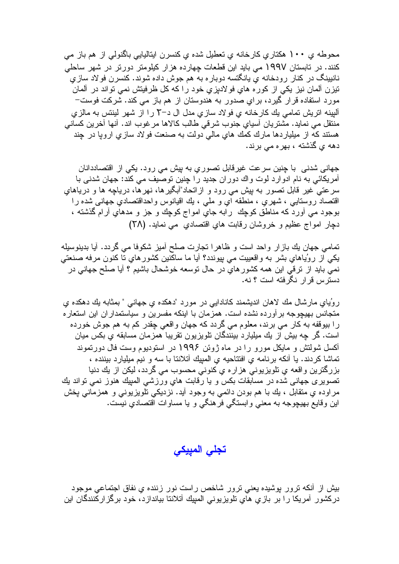محوطه ي ۱۰۰ هکتاري کارخانه ي تعطيل شده ي کنسرن ايتاليايي باگنولي از هم باز مي کنند. در تابستان ۱۹۹۷ می باید این قطعات چهارده هزار کیلومتر دورتر در شهر ساحلی نانیپنگ در کنار رودخانه ی پانگتسه دوباره به هم جوش داده شوند. کنسرن فولاد سازی تيزن آلمان نيز يكي از كوره هاي فولاديزي خود را كه كل ظرفيتش نمي تواند در آلمان مورد استفاده قرار گیرد، برایِ صدور به هندوستان از هم باز می کند. شرکت فوست– آلبینه اتریش تمامی یك كارخانه ی فولاد سازی مدل ال د–٢ را از شهر لینتس به مالزی منتقل می نماید. مشتریان أسیایِ جنوب شرقی طالب کالاها مرغوب اند. أنها أخرین کسانی هستند که از میلیاردها مارك کمك های مالی دولت به صنعت فولاد سازی اروپا در چند دهه ی گذشته ، بهره می برند.

جهانی شدنی با چنین سرعت غیرقابل تصوریِ به بیش می رود. یکی از اقتصاددانان آمریکائی به نام ادوارد لوت واك دوران جدید را چنین توصیف می كند: جهان شدنی با سرعتـي غير قابل نصـور بـه بپش مـي رود و ازانـحاد"آبـگيرها، نـهرهّا، دريـاچـه ها و دريـاهاى اقتصاد روستایی ، شهری ، منطقه ای و ملبی ، بك اقیانوس و احداقتصادی جهانبی شده را بوجود مي أورد كه مناطق كوچك رابه جاي امواج كوچك و جز و مدهاي أرام گذشته ، دجار امواج عظیم و خروشان رقابت های اقتصادی ًمی نماید. (۲۸)

تمامی جهان بك بازار واحد است و ظاهرا تجارت صلح أميز شكوفا می گردد. أيا بدينوسيله يکي از روُياهاي بشر به واقعييت مي پيوندد؟ آيا ما ساکنين کشورهاي تا کنون مرفه صنعتی نمي بايد از نرقي اين همه كشورهاي در حال نوسعه خوشحال باشيم ؟ أيا صلح جهانـي در دستر س قر ار نگر فته است ؟ نه.

روُياي مارشال مك لاهان انديشمند كانادايي در مورد "دهكده ي جهاني " بمثابه يك دهكده ي متجانس بهیچوجه بر آورده نشده است. همزمان با اینکه مفسرین و سیاستمدار ان این استعار ه را بیوقفه به کار می برند، معلوم می گردد که جهان واقعی چقدر کم به هم جوش خورده است. گر چه بیش از یك میلیارد بینندگان تلویزیون تقریبا همزمان مسابقه یِ بكس میان آکسل شولتش و مابکل مورو را در ماه ژوئن ۱۹۹۶ در استودبوم وست فال دور تموند تماشا كردند. يا أنكه برنامه ى افتتاحيه ى المبيك أتلانتا با سه و نيم ميليارد بيننده ، بزرگترین و اقعه ی نلویزیونی هز ار ه ی کنونی محسوب می گردد، لیکن از یك دنیا تصویری جهانی شده در مسابقات بکس و یا رقابت های ورزشی المبیك هنوز نمی تواند یك مراوده یِ متقابل ، بِك با هم بودن دائمی به وجود أید. نزدیکی نلویزیونی و همزمانی بخش این وقایع بهیچوجه به معنی وابستگی فرهنگی و یا مساوات آفتصادی نیست.

تجلى المييكي

بیش از أنکه ترور بوشیده بعنی ترور شاخص راست نور زننده ی نفاق اجتماعی موجود درکشور آمریکا را بر بازیِ هایِ تلویزیونی المبیك آتلانتا بیاندازد، خود برگز ارکنندگان این